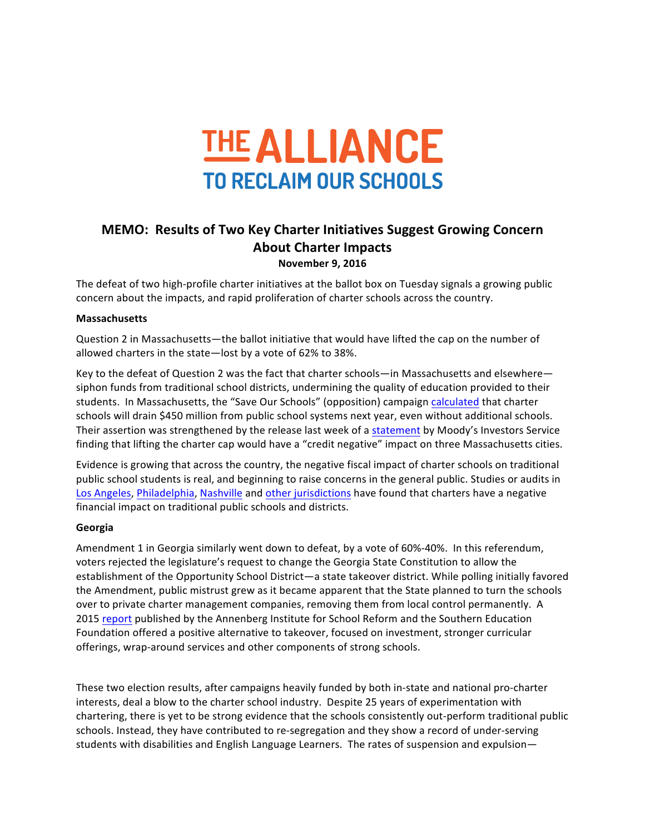

## **MEMO: Results of Two Key Charter Initiatives Suggest Growing Concern About Charter Impacts**

**November 9, 2016**

The defeat of two high-profile charter initiatives at the ballot box on Tuesday signals a growing public concern about the impacts, and rapid proliferation of charter schools across the country.

## **Massachusetts**

Question 2 in Massachusetts—the ballot initiative that would have lifted the cap on the number of allowed charters in the state-lost by a vote of 62% to 38%.

Key to the defeat of Question 2 was the fact that charter schools—in Massachusetts and elsewhere siphon funds from traditional school districts, undermining the quality of education provided to their students. In Massachusetts, the "Save Our Schools" (opposition) campaign calculated that charter schools will drain \$450 million from public school systems next year, even without additional schools. Their assertion was strengthened by the release last week of a statement by Moody's Investors Service finding that lifting the charter cap would have a "credit negative" impact on three Massachusetts cities.

Evidence is growing that across the country, the negative fiscal impact of charter schools on traditional public school students is real, and beginning to raise concerns in the general public. Studies or audits in Los Angeles, Philadelphia, Nashville and other jurisdictions have found that charters have a negative financial impact on traditional public schools and districts.

## **Georgia**

Amendment 1 in Georgia similarly went down to defeat, by a vote of 60%-40%. In this referendum, voters rejected the legislature's request to change the Georgia State Constitution to allow the establishment of the Opportunity School District—a state takeover district. While polling initially favored the Amendment, public mistrust grew as it became apparent that the State planned to turn the schools over to private charter management companies, removing them from local control permanently. A 2015 report published by the Annenberg Institute for School Reform and the Southern Education Foundation offered a positive alternative to takeover, focused on investment, stronger curricular offerings, wrap-around services and other components of strong schools.

These two election results, after campaigns heavily funded by both in-state and national pro-charter interests, deal a blow to the charter school industry. Despite 25 years of experimentation with chartering, there is yet to be strong evidence that the schools consistently out-perform traditional public schools. Instead, they have contributed to re-segregation and they show a record of under-serving students with disabilities and English Language Learners. The rates of suspension and expulsion